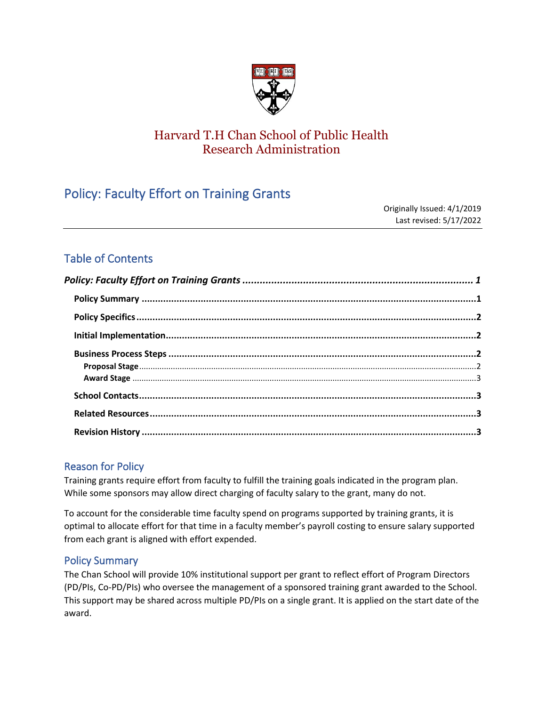

# Harvard T.H Chan School of Public Health Research Administration

# <span id="page-0-0"></span>Policy: Faculty Effort on Training Grants

Originally Issued: 4/1/2019 Last revised: 5/17/2022

# Table of Contents

## Reason for Policy

Training grants require effort from faculty to fulfill the training goals indicated in the program plan. While some sponsors may allow direct charging of faculty salary to the grant, many do not.

To account for the considerable time faculty spend on programs supported by training grants, it is optimal to allocate effort for that time in a faculty member's payroll costing to ensure salary supported from each grant is aligned with effort expended.

## <span id="page-0-1"></span>Policy Summary

The Chan School will provide 10% institutional support per grant to reflect effort of Program Directors (PD/PIs, Co-PD/PIs) who oversee the management of a sponsored training grant awarded to the School. This support may be shared across multiple PD/PIs on a single grant. It is applied on the start date of the award.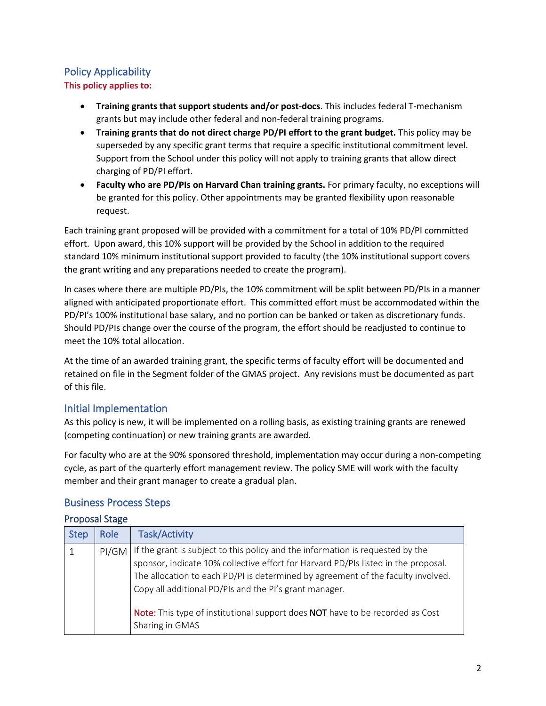# <span id="page-1-0"></span>Policy Applicability

**This policy applies to:**

- **Training grants that support students and/or post-docs**. This includes federal T-mechanism grants but may include other federal and non-federal training programs.
- **Training grants that do not direct charge PD/PI effort to the grant budget.** This policy may be superseded by any specific grant terms that require a specific institutional commitment level. Support from the School under this policy will not apply to training grants that allow direct charging of PD/PI effort.
- **Faculty who are PD/PIs on Harvard Chan training grants.** For primary faculty, no exceptions will be granted for this policy. Other appointments may be granted flexibility upon reasonable request.

Each training grant proposed will be provided with a commitment for a total of 10% PD/PI committed effort. Upon award, this 10% support will be provided by the School in addition to the required standard 10% minimum institutional support provided to faculty (the 10% institutional support covers the grant writing and any preparations needed to create the program).

In cases where there are multiple PD/PIs, the 10% commitment will be split between PD/PIs in a manner aligned with anticipated proportionate effort. This committed effort must be accommodated within the PD/PI's 100% institutional base salary, and no portion can be banked or taken as discretionary funds. Should PD/PIs change over the course of the program, the effort should be readjusted to continue to meet the 10% total allocation.

At the time of an awarded training grant, the specific terms of faculty effort will be documented and retained on file in the Segment folder of the GMAS project. Any revisions must be documented as part of this file.

# <span id="page-1-1"></span>Initial Implementation

As this policy is new, it will be implemented on a rolling basis, as existing training grants are renewed (competing continuation) or new training grants are awarded.

For faculty who are at the 90% sponsored threshold, implementation may occur during a non-competing cycle, as part of the quarterly effort management review. The policy SME will work with the faculty member and their grant manager to create a gradual plan.

## <span id="page-1-2"></span>Business Process Steps

#### <span id="page-1-3"></span>Proposal Stage

| <b>Step</b> | <b>Role</b> | <b>Task/Activity</b>                                                                                                                                                                                                                                                                                                                                                                                                |
|-------------|-------------|---------------------------------------------------------------------------------------------------------------------------------------------------------------------------------------------------------------------------------------------------------------------------------------------------------------------------------------------------------------------------------------------------------------------|
|             | PI/GM       | If the grant is subject to this policy and the information is requested by the sponsor, indicate 10% collective effort for Harvard PD/PIs listed in the proposal.<br>The allocation to each PD/PI is determined by agreement of the faculty involved.<br>Copy all additional PD/PIs and the PI's grant manager.<br>Note: This type of institutional support does NOT have to be recorded as Cost<br>Sharing in GMAS |